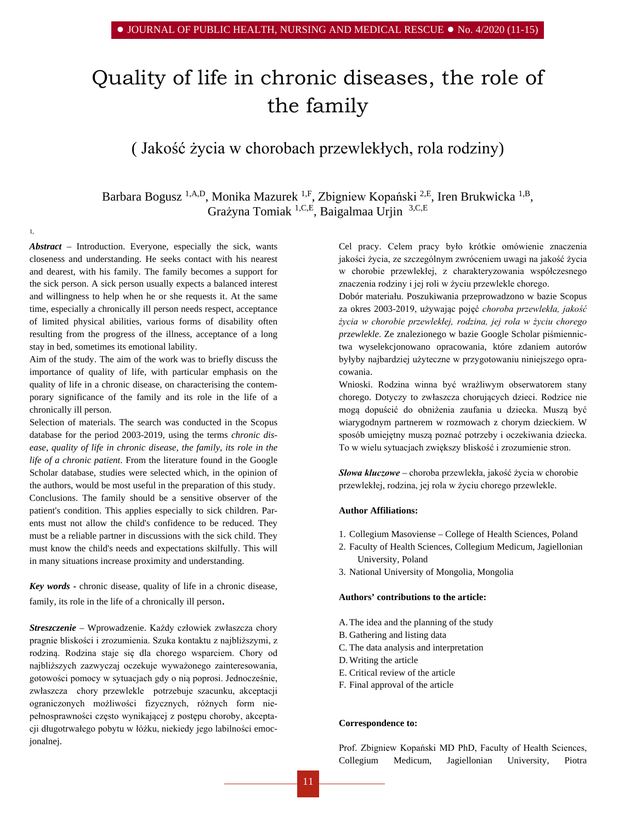# Quality of life in chronic diseases, the role of the family

# ( Jakość życia w chorobach przewlekłych, rola rodziny)

Barbara Bogusz <sup>1,A,D</sup>, Monika Mazurek <sup>1,F</sup>, Zbigniew Kopański <sup>2,E</sup>, Iren Brukwicka <sup>1,B</sup>, Grażyna Tomiak 1,C,E, Baigalmaa Urjin 3,C,E

*Abstract –* Introduction. Everyone, especially the sick, wants closeness and understanding. He seeks contact with his nearest and dearest, with his family. The family becomes a support for the sick person. A sick person usually expects a balanced interest and willingness to help when he or she requests it. At the same time, especially a chronically ill person needs respect, acceptance of limited physical abilities, various forms of disability often resulting from the progress of the illness, acceptance of a long stay in bed, sometimes its emotional lability.

1,

Aim of the study. The aim of the work was to briefly discuss the importance of quality of life, with particular emphasis on the quality of life in a chronic disease, on characterising the contemporary significance of the family and its role in the life of a chronically ill person.

Selection of materials. The search was conducted in the Scopus database for the period 2003-2019, using the terms *chronic dis*ease, quality of life in chronic disease, the family, its role in the *life of a chronic patient*. From the literature found in the [Google](http://scholar.google.pl/)  [Scholar database,](http://scholar.google.pl/) studies were selected which, in the opinion of the authors, would be most useful in the preparation of this study. Conclusions. The family should be a sensitive observer of the patient's condition. This applies especially to sick children. Parents must not allow the child's confidence to be reduced. They must be a reliable partner in discussions with the sick child. They must know the child's needs and expectations skilfully. This will in many situations increase proximity and understanding.

*Key words -* chronic disease, quality of life in a chronic disease, family, its role in the life of a chronically ill person.

*Streszczenie –* Wprowadzenie. Każdy człowiek zwłaszcza chory pragnie bliskości i zrozumienia. Szuka kontaktu z najbliższymi, z rodziną. Rodzina staje się dla chorego wsparciem. Chory od najbliższych zazwyczaj oczekuje wyważonego zainteresowania, gotowości pomocy w sytuacjach gdy o nią poprosi. Jednocześnie, zwłaszcza chory przewlekle potrzebuje szacunku, akceptacji ograniczonych możliwości fizycznych, różnych form niepełnosprawności często wynikającej z postępu choroby, akceptacji długotrwałego pobytu w łóżku, niekiedy jego labilności emocjonalnej.

Cel pracy. Celem pracy było krótkie omówienie znaczenia jakości życia, ze szczególnym zwróceniem uwagi na jakość życia w chorobie przewlekłej, z charakteryzowania współczesnego znaczenia rodziny i jej roli w życiu przewlekle chorego.

Dobór materiału. Poszukiwania przeprowadzono w bazie Scopus za okres 2003-2019, używając pojęć *choroba przewlekła, jakość życia w chorobie przewlekłej, rodzina, jej rola w życiu chorego przewlekle*. Ze znalezionego w bazie [Google Scholar](http://scholar.google.pl/) piśmiennictwa wyselekcjonowano opracowania, które zdaniem autorów byłyby najbardziej użyteczne w przygotowaniu niniejszego opracowania.

Wnioski. Rodzina winna być wrażliwym obserwatorem stany chorego. Dotyczy to zwłaszcza chorujących dzieci. Rodzice nie mogą dopuścić do obniżenia zaufania u dziecka. Muszą być wiarygodnym partnerem w rozmowach z chorym dzieckiem. W sposób umiejętny muszą poznać potrzeby i oczekiwania dziecka. To w wielu sytuacjach zwiększy bliskość i zrozumienie stron.

*Słowa kluczowe –* choroba przewlekła, jakość życia w chorobie przewlekłej, rodzina, jej rola w życiu chorego przewlekle.

# **Author Affiliations:**

- 1. Collegium Masoviense College of Health Sciences, Poland
- 2. Faculty of Health Sciences, Collegium Medicum, Jagiellonian University, Poland
- 3. National University of Mongolia, Mongolia

#### **Authors' contributions to the article:**

- A.The idea and the planning of the study
- B. Gathering and listing data
- C. The data analysis and interpretation
- D.Writing the article
- E. Critical review of the article
- F. Final approval of the article

#### **Correspondence to:**

Prof. Zbigniew Kopański MD PhD, Faculty of Health Sciences, Collegium Medicum, Jagiellonian University, Piotra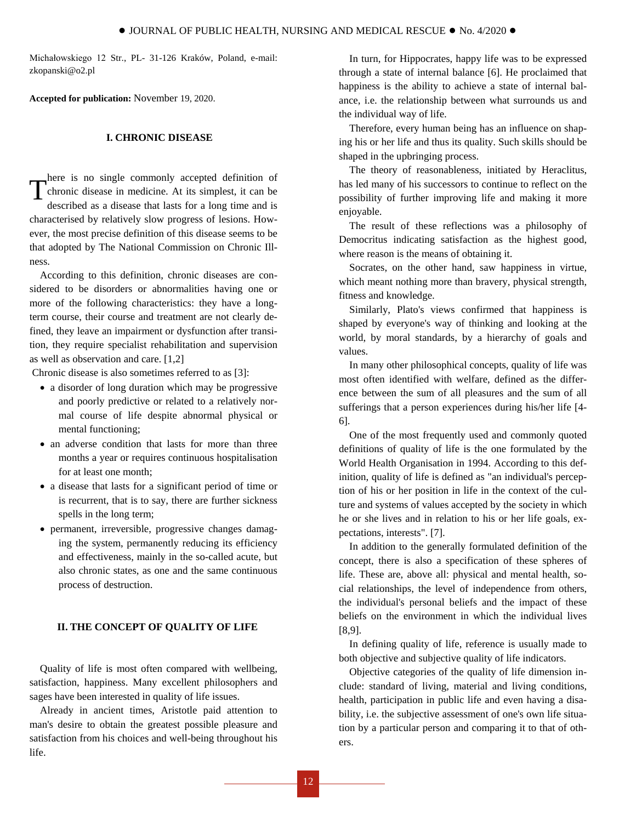Michałowskiego 12 Str., PL- 31-126 Kraków, Poland, e-mail: [zkopanski@o2.pl](mailto:zkopanski@o2.pl)

**Accepted for publication:** November 19, 2020.

# **I. CHRONIC DISEASE**

here is no single commonly accepted definition of chronic disease in medicine. At its simplest, it can be described as a disease that lasts for a long time and is characterised by relatively slow progress of lesions. However, the most precise definition of this disease seems to be that adopted by The National Commission on Chronic Illness. T

According to this definition, chronic diseases are considered to be disorders or abnormalities having one or more of the following characteristics: they have a longterm course, their course and treatment are not clearly defined, they leave an impairment or dysfunction after transition, they require specialist rehabilitation and supervision as well as observation and care. [1,2]

Chronic disease is also sometimes referred to as [3]:

- a disorder of long duration which may be progressive and poorly predictive or related to a relatively normal course of life despite abnormal physical or mental functioning;
- an adverse condition that lasts for more than three months a year or requires continuous hospitalisation for at least one month;
- a disease that lasts for a significant period of time or is recurrent, that is to say, there are further sickness spells in the long term;
- permanent, irreversible, progressive changes damaging the system, permanently reducing its efficiency and effectiveness, mainly in the so-called acute, but also chronic states, as one and the same continuous process of destruction.

# **II. THE CONCEPT OF QUALITY OF LIFE**

Quality of life is most often compared with wellbeing, satisfaction, happiness. Many excellent philosophers and sages have been interested in quality of life issues.

Already in ancient times, Aristotle paid attention to man's desire to obtain the greatest possible pleasure and satisfaction from his choices and well-being throughout his life.

In turn, for Hippocrates, happy life was to be expressed through a state of internal balance [6]. He proclaimed that happiness is the ability to achieve a state of internal balance, i.e. the relationship between what surrounds us and the individual way of life.

Therefore, every human being has an influence on shaping his or her life and thus its quality. Such skills should be shaped in the upbringing process.

The theory of reasonableness, initiated by Heraclitus, has led many of his successors to continue to reflect on the possibility of further improving life and making it more enjoyable.

The result of these reflections was a philosophy of Democritus indicating satisfaction as the highest good, where reason is the means of obtaining it.

Socrates, on the other hand, saw happiness in virtue, which meant nothing more than bravery, physical strength, fitness and knowledge.

Similarly, Plato's views confirmed that happiness is shaped by everyone's way of thinking and looking at the world, by moral standards, by a hierarchy of goals and values.

In many other philosophical concepts, quality of life was most often identified with welfare, defined as the difference between the sum of all pleasures and the sum of all sufferings that a person experiences during his/her life [4- 6].

One of the most frequently used and commonly quoted definitions of quality of life is the one formulated by the World Health Organisation in 1994. According to this definition, quality of life is defined as "an individual's perception of his or her position in life in the context of the culture and systems of values accepted by the society in which he or she lives and in relation to his or her life goals, expectations, interests". [7].

In addition to the generally formulated definition of the concept, there is also a specification of these spheres of life. These are, above all: physical and mental health, social relationships, the level of independence from others, the individual's personal beliefs and the impact of these beliefs on the environment in which the individual lives [8,9].

In defining quality of life, reference is usually made to both objective and subjective quality of life indicators.

Objective categories of the quality of life dimension include: standard of living, material and living conditions, health, participation in public life and even having a disability, i.e. the subjective assessment of one's own life situation by a particular person and comparing it to that of others.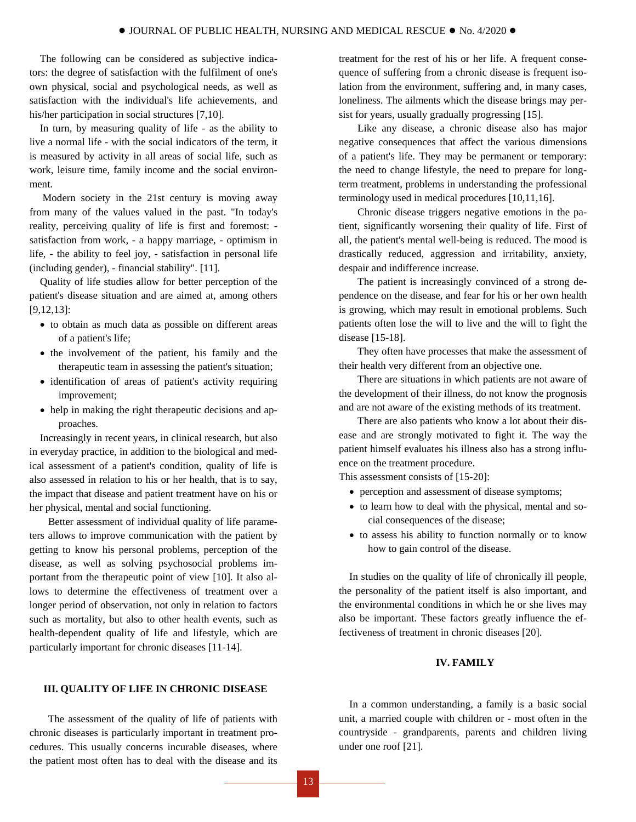The following can be considered as subjective indicators: the degree of satisfaction with the fulfilment of one's own physical, social and psychological needs, as well as satisfaction with the individual's life achievements, and his/her participation in social structures [7,10].

In turn, by measuring quality of life - as the ability to live a normal life - with the social indicators of the term, it is measured by activity in all areas of social life, such as work, leisure time, family income and the social environment.

Modern society in the 21st century is moving away from many of the values valued in the past. "In today's reality, perceiving quality of life is first and foremost: satisfaction from work, - a happy marriage, - optimism in life, - the ability to feel joy, - satisfaction in personal life (including gender), - financial stability". [11].

Quality of life studies allow for better perception of the patient's disease situation and are aimed at, among others [9,12,13]:

- to obtain as much data as possible on different areas of a patient's life;
- the involvement of the patient, his family and the therapeutic team in assessing the patient's situation;
- identification of areas of patient's activity requiring improvement;
- help in making the right therapeutic decisions and approaches.

Increasingly in recent years, in clinical research, but also in everyday practice, in addition to the biological and medical assessment of a patient's condition, quality of life is also assessed in relation to his or her health, that is to say, the impact that disease and patient treatment have on his or her physical, mental and social functioning.

Better assessment of individual quality of life parameters allows to improve communication with the patient by getting to know his personal problems, perception of the disease, as well as solving psychosocial problems important from the therapeutic point of view [10]. It also allows to determine the effectiveness of treatment over a longer period of observation, not only in relation to factors such as mortality, but also to other health events, such as health-dependent quality of life and lifestyle, which are particularly important for chronic diseases [11-14].

# **III. QUALITY OF LIFE IN CHRONIC DISEASE**

The assessment of the quality of life of patients with chronic diseases is particularly important in treatment procedures. This usually concerns incurable diseases, where the patient most often has to deal with the disease and its

treatment for the rest of his or her life. A frequent consequence of suffering from a chronic disease is frequent isolation from the environment, suffering and, in many cases, loneliness. The ailments which the disease brings may persist for years, usually gradually progressing [15].

Like any disease, a chronic disease also has major negative consequences that affect the various dimensions of a patient's life. They may be permanent or temporary: the need to change lifestyle, the need to prepare for longterm treatment, problems in understanding the professional terminology used in medical procedures [10,11,16].

Chronic disease triggers negative emotions in the patient, significantly worsening their quality of life. First of all, the patient's mental well-being is reduced. The mood is drastically reduced, aggression and irritability, anxiety, despair and indifference increase.

The patient is increasingly convinced of a strong dependence on the disease, and fear for his or her own health is growing, which may result in emotional problems. Such patients often lose the will to live and the will to fight the disease [15-18].

They often have processes that make the assessment of their health very different from an objective one.

There are situations in which patients are not aware of the development of their illness, do not know the prognosis and are not aware of the existing methods of its treatment.

There are also patients who know a lot about their disease and are strongly motivated to fight it. The way the patient himself evaluates his illness also has a strong influence on the treatment procedure.

This assessment consists of [15-20]:

- perception and assessment of disease symptoms;
- to learn how to deal with the physical, mental and social consequences of the disease;
- to assess his ability to function normally or to know how to gain control of the disease.

In studies on the quality of life of chronically ill people, the personality of the patient itself is also important, and the environmental conditions in which he or she lives may also be important. These factors greatly influence the effectiveness of treatment in chronic diseases [20].

# **IV. FAMILY**

In a common understanding, a family is a basic social unit, a married couple with children or - most often in the countryside - grandparents, parents and children living under one roof [21].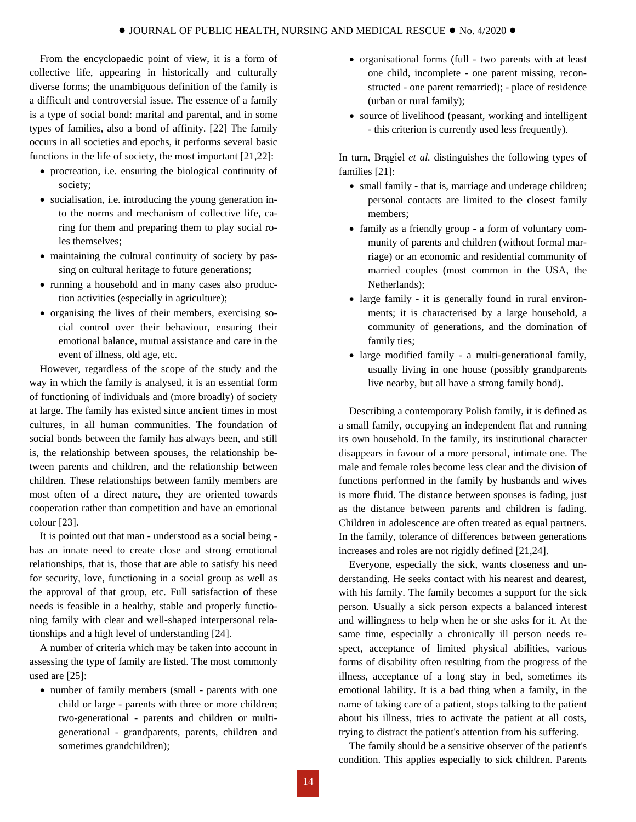From the encyclopaedic point of view, it is a form of collective life, appearing in historically and culturally diverse forms; the unambiguous definition of the family is a difficult and controversial issue. The essence of a family is a type of social bond: marital and parental, and in some types of families, also a bond of affinity. [22] The family occurs in all societies and epochs, it performs several basic functions in the life of society, the most important [21,22]:

- procreation, i.e. ensuring the biological continuity of society;
- socialisation, i.e. introducing the young generation into the norms and mechanism of collective life, caring for them and preparing them to play social roles themselves;
- maintaining the cultural continuity of society by passing on cultural heritage to future generations;
- running a household and in many cases also production activities (especially in agriculture);
- organising the lives of their members, exercising social control over their behaviour, ensuring their emotional balance, mutual assistance and care in the event of illness, old age, etc.

However, regardless of the scope of the study and the way in which the family is analysed, it is an essential form of functioning of individuals and (more broadly) of society at large. The family has existed since ancient times in most cultures, in all human communities. The foundation of social bonds between the family has always been, and still is, the relationship between spouses, the relationship between parents and children, and the relationship between children. These relationships between family members are most often of a direct nature, they are oriented towards cooperation rather than competition and have an emotional colour [23].

It is pointed out that man - understood as a social being has an innate need to create close and strong emotional relationships, that is, those that are able to satisfy his need for security, love, functioning in a social group as well as the approval of that group, etc. Full satisfaction of these needs is feasible in a healthy, stable and properly functioning family with clear and well-shaped interpersonal relationships and a high level of understanding [24].

A number of criteria which may be taken into account in assessing the type of family are listed. The most commonly used are [25]:

• number of family members (small - parents with one child or large - parents with three or more children; two-generational - parents and children or multigenerational - grandparents, parents, children and sometimes grandchildren);

- organisational forms (full two parents with at least one child, incomplete - one parent missing, reconstructed - one parent remarried); - place of residence (urban or rural family);
- source of livelihood (peasant, working and intelligent - this criterion is currently used less frequently).

In turn, Brągiel *et al.* distinguishes the following types of families [21]:

- small family that is, marriage and underage children; personal contacts are limited to the closest family members;
- family as a friendly group a form of voluntary community of parents and children (without formal marriage) or an economic and residential community of married couples (most common in the USA, the Netherlands);
- large family it is generally found in rural environments; it is characterised by a large household, a community of generations, and the domination of family ties;
- large modified family a multi-generational family, usually living in one house (possibly grandparents live nearby, but all have a strong family bond).

Describing a contemporary Polish family, it is defined as a small family, occupying an independent flat and running its own household. In the family, its institutional character disappears in favour of a more personal, intimate one. The male and female roles become less clear and the division of functions performed in the family by husbands and wives is more fluid. The distance between spouses is fading, just as the distance between parents and children is fading. Children in adolescence are often treated as equal partners. In the family, tolerance of differences between generations increases and roles are not rigidly defined [21,24].

Everyone, especially the sick, wants closeness and understanding. He seeks contact with his nearest and dearest, with his family. The family becomes a support for the sick person. Usually a sick person expects a balanced interest and willingness to help when he or she asks for it. At the same time, especially a chronically ill person needs respect, acceptance of limited physical abilities, various forms of disability often resulting from the progress of the illness, acceptance of a long stay in bed, sometimes its emotional lability. It is a bad thing when a family, in the name of taking care of a patient, stops talking to the patient about his illness, tries to activate the patient at all costs, trying to distract the patient's attention from his suffering.

The family should be a sensitive observer of the patient's condition. This applies especially to sick children. Parents